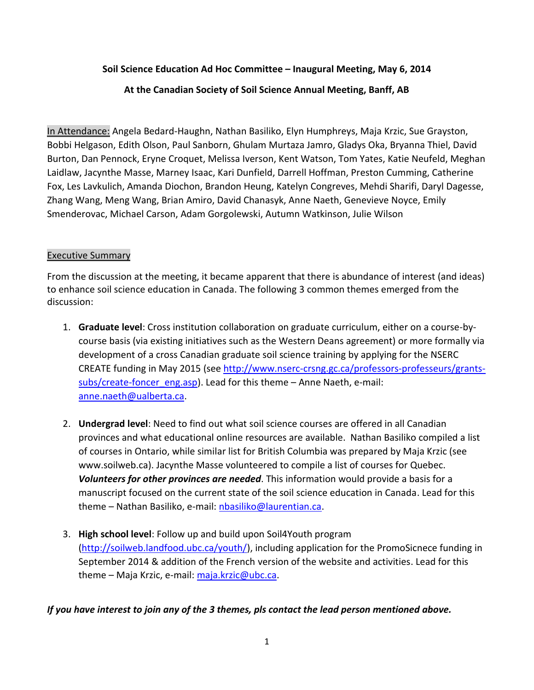**Soil Science Education Ad Hoc Committee – Inaugural Meeting, May 6, 2014** 

**At the Canadian Society of Soil Science Annual Meeting, Banff, AB**

In Attendance: Angela Bedard-Haughn, Nathan Basiliko, Elyn Humphreys, Maja Krzic, Sue Grayston, Bobbi Helgason, Edith Olson, Paul Sanborn, Ghulam Murtaza Jamro, Gladys Oka, Bryanna Thiel, David Burton, Dan Pennock, Eryne Croquet, Melissa Iverson, Kent Watson, Tom Yates, Katie Neufeld, Meghan Laidlaw, Jacynthe Masse, Marney Isaac, Kari Dunfield, Darrell Hoffman, Preston Cumming, Catherine Fox, Les Lavkulich, Amanda Diochon, Brandon Heung, Katelyn Congreves, Mehdi Sharifi, Daryl Dagesse, Zhang Wang, Meng Wang, Brian Amiro, David Chanasyk, Anne Naeth, Genevieve Noyce, Emily Smenderovac, Michael Carson, Adam Gorgolewski, Autumn Watkinson, Julie Wilson

### Executive Summary

From the discussion at the meeting, it became apparent that there is abundance of interest (and ideas) to enhance soil science education in Canada. The following 3 common themes emerged from the discussion:

- 1. **Graduate level**: Cross institution collaboration on graduate curriculum, either on a course-bycourse basis (via existing initiatives such as the Western Deans agreement) or more formally via development of a cross Canadian graduate soil science training by applying for the NSERC CREATE funding in May 2015 (see [http://www.nserc-crsng.gc.ca/professors-professeurs/grants](http://www.nserc-crsng.gc.ca/professors-professeurs/grants-subs/create-foncer_eng.asp)[subs/create-foncer\\_eng.asp\)](http://www.nserc-crsng.gc.ca/professors-professeurs/grants-subs/create-foncer_eng.asp). Lead for this theme – Anne Naeth, e-mail: [anne.naeth@ualberta.ca.](mailto:anne.naeth@ualberta.ca)
- 2. **Undergrad level**: Need to find out what soil science courses are offered in all Canadian provinces and what educational online resources are available. Nathan Basiliko compiled a list of courses in Ontario, while similar list for British Columbia was prepared by Maja Krzic (see www.soilweb.ca). Jacynthe Masse volunteered to compile a list of courses for Quebec. *Volunteers for other provinces are needed*. This information would provide a basis for a manuscript focused on the current state of the soil science education in Canada. Lead for this theme – Nathan Basiliko, e-mail: [nbasiliko@laurentian.ca.](mailto:nbasiliko@laurentian.ca)
- 3. **High school level**: Follow up and build upon Soil4Youth program [\(http://soilweb.landfood.ubc.ca/youth/\)](http://soilweb.landfood.ubc.ca/youth/), including application for the PromoSicnece funding in September 2014 & addition of the French version of the website and activities. Lead for this theme – Maja Krzic, e-mail[: maja.krzic@ubc.ca.](mailto:maja.krzic@ubc.ca)

## *If you have interest to join any of the 3 themes, pls contact the lead person mentioned above.*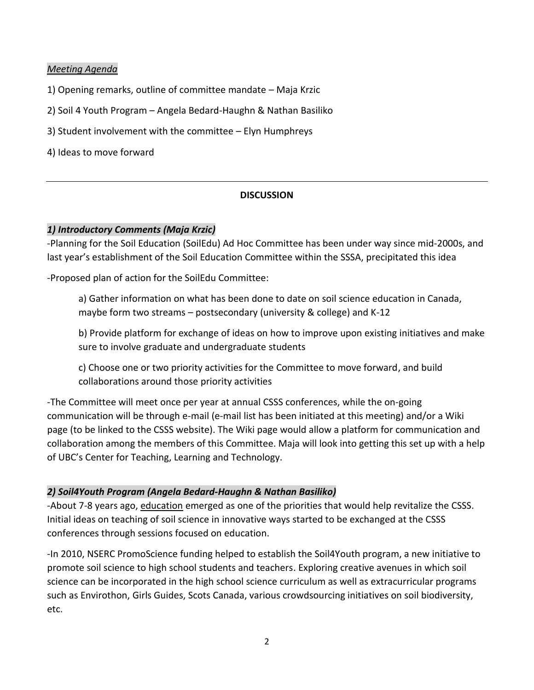## *Meeting Agenda*

- 1) Opening remarks, outline of committee mandate Maja Krzic
- 2) Soil 4 Youth Program Angela Bedard-Haughn & Nathan Basiliko
- 3) Student involvement with the committee Elyn Humphreys

4) Ideas to move forward

### **DISCUSSION**

### *1) Introductory Comments (Maja Krzic)*

-Planning for the Soil Education (SoilEdu) Ad Hoc Committee has been under way since mid-2000s, and last year's establishment of the Soil Education Committee within the SSSA, precipitated this idea

-Proposed plan of action for the SoilEdu Committee:

a) Gather information on what has been done to date on soil science education in Canada, maybe form two streams – postsecondary (university & college) and K-12

b) Provide platform for exchange of ideas on how to improve upon existing initiatives and make sure to involve graduate and undergraduate students

c) Choose one or two priority activities for the Committee to move forward, and build collaborations around those priority activities

-The Committee will meet once per year at annual CSSS conferences, while the on-going communication will be through e-mail (e-mail list has been initiated at this meeting) and/or a Wiki page (to be linked to the CSSS website). The Wiki page would allow a platform for communication and collaboration among the members of this Committee. Maja will look into getting this set up with a help of UBC's Center for Teaching, Learning and Technology.

## *2) Soil4Youth Program (Angela Bedard-Haughn & Nathan Basiliko)*

-About 7-8 years ago, education emerged as one of the priorities that would help revitalize the CSSS. Initial ideas on teaching of soil science in innovative ways started to be exchanged at the CSSS conferences through sessions focused on education.

-In 2010, NSERC PromoScience funding helped to establish the Soil4Youth program, a new initiative to promote soil science to high school students and teachers. Exploring creative avenues in which soil science can be incorporated in the high school science curriculum as well as extracurricular programs such as Envirothon, Girls Guides, Scots Canada, various crowdsourcing initiatives on soil biodiversity, etc.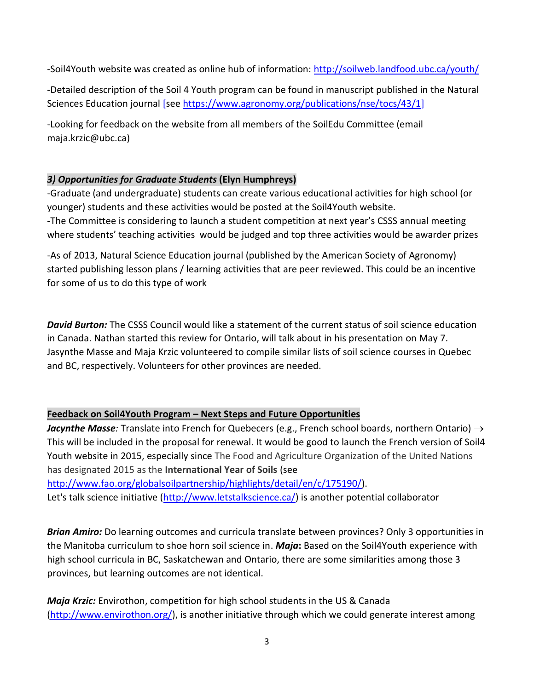-Soil4Youth website was created as online hub of information:<http://soilweb.landfood.ubc.ca/youth/>

-Detailed description of the Soil 4 Youth program can be found in manuscript published in the Natural Sciences Education journal [se[e https://www.agronomy.org/publications/nse/tocs/43/1\]](https://www.agronomy.org/publications/nse/tocs/43/1)

-Looking for feedback on the website from all members of the SoilEdu Committee (email maja.krzic@ubc.ca)

## *3) Opportunities for Graduate Students* **(Elyn Humphreys)**

-Graduate (and undergraduate) students can create various educational activities for high school (or younger) students and these activities would be posted at the Soil4Youth website. -The Committee is considering to launch a student competition at next year's CSSS annual meeting where students' teaching activities would be judged and top three activities would be awarder prizes

-As of 2013, Natural Science Education journal (published by the American Society of Agronomy) started publishing lesson plans / learning activities that are peer reviewed. This could be an incentive for some of us to do this type of work

*David Burton:* The CSSS Council would like a statement of the current status of soil science education in Canada. Nathan started this review for Ontario, will talk about in his presentation on May 7. Jasynthe Masse and Maja Krzic volunteered to compile similar lists of soil science courses in Quebec and BC, respectively. Volunteers for other provinces are needed.

# **Feedback on Soil4Youth Program – Next Steps and Future Opportunities**

*Jacynthe Masse:* Translate into French for Quebecers (e.g., French school boards, northern Ontario)  $\rightarrow$ This will be included in the proposal for renewal. It would be good to launch the French version of Soil4 Youth website in 2015, especially since The Food and Agriculture Organization of the United Nations has designated 2015 as the **International Year of Soils** (see

[http://www.fao.org/globalsoilpartnership/highlights/detail/en/c/175190/\)](http://www.fao.org/globalsoilpartnership/highlights/detail/en/c/175190/). Let's talk science initiative [\(http://www.letstalkscience.ca/\)](http://www.letstalkscience.ca/) is another potential collaborator

*Brian Amiro:* Do learning outcomes and curricula translate between provinces? Only 3 opportunities in the Manitoba curriculum to shoe horn soil science in. *Maja***:** Based on the Soil4Youth experience with high school curricula in BC, Saskatchewan and Ontario, there are some similarities among those 3 provinces, but learning outcomes are not identical.

*Maja Krzic:* Envirothon, competition for high school students in the US & Canada [\(http://www.envirothon.org/\)](http://www.envirothon.org/), is another initiative through which we could generate interest among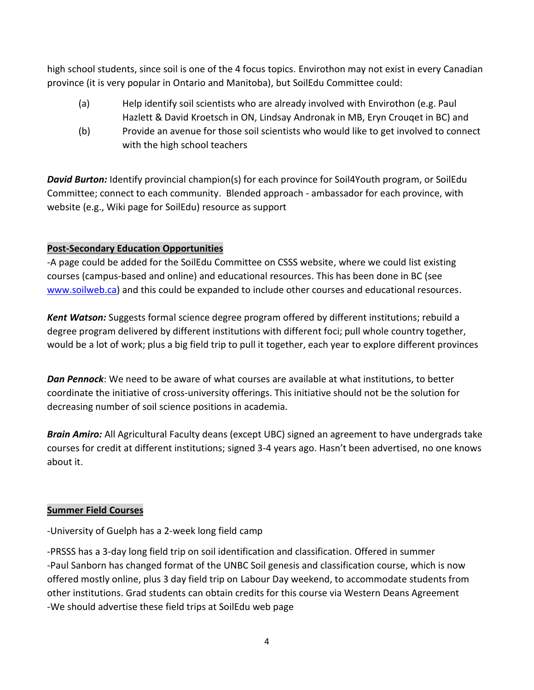high school students, since soil is one of the 4 focus topics. Envirothon may not exist in every Canadian province (it is very popular in Ontario and Manitoba), but SoilEdu Committee could:

- (a) Help identify soil scientists who are already involved with Envirothon (e.g. Paul Hazlett & David Kroetsch in ON, Lindsay Andronak in MB, Eryn Crouqet in BC) and
- (b) Provide an avenue for those soil scientists who would like to get involved to connect with the high school teachers

*David Burton:* Identify provincial champion(s) for each province for Soil4Youth program, or SoilEdu Committee; connect to each community. Blended approach - ambassador for each province, with website (e.g., Wiki page for SoilEdu) resource as support

# **Post-Secondary Education Opportunities**

-A page could be added for the SoilEdu Committee on CSSS website, where we could list existing courses (campus-based and online) and educational resources. This has been done in BC (see [www.soilweb.ca\)](http://www.soilweb.ca/) and this could be expanded to include other courses and educational resources.

*Kent Watson:* Suggests formal science degree program offered by different institutions; rebuild a degree program delivered by different institutions with different foci; pull whole country together, would be a lot of work; plus a big field trip to pull it together, each year to explore different provinces

*Dan Pennock*: We need to be aware of what courses are available at what institutions, to better coordinate the initiative of cross-university offerings. This initiative should not be the solution for decreasing number of soil science positions in academia.

*Brain Amiro:* All Agricultural Faculty deans (except UBC) signed an agreement to have undergrads take courses for credit at different institutions; signed 3-4 years ago. Hasn't been advertised, no one knows about it.

## **Summer Field Courses**

-University of Guelph has a 2-week long field camp

-PRSSS has a 3-day long field trip on soil identification and classification. Offered in summer -Paul Sanborn has changed format of the UNBC Soil genesis and classification course, which is now offered mostly online, plus 3 day field trip on Labour Day weekend, to accommodate students from other institutions. Grad students can obtain credits for this course via Western Deans Agreement -We should advertise these field trips at SoilEdu web page